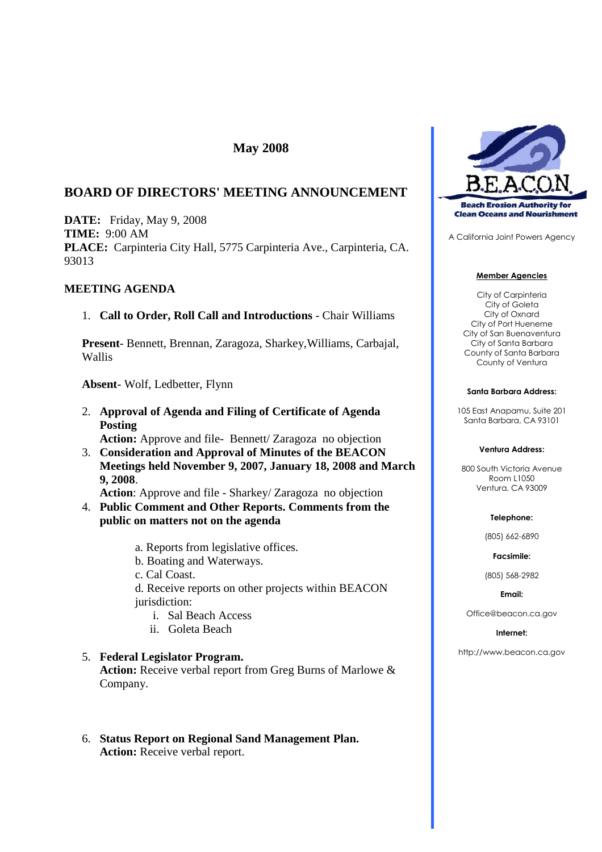# **May 2008**

# **BOARD OF DIRECTORS' MEETING ANNOUNCEMENT**

**DATE:** Friday, May 9, 2008 **TIME:** 9:00 AM **PLACE:** Carpinteria City Hall, 5775 Carpinteria Ave., Carpinteria, CA. 93013

### **MEETING AGENDA**

### 1. **Call to Order, Roll Call and Introductions** - Chair Williams

**Present**- Bennett, Brennan, Zaragoza, Sharkey,Williams, Carbajal, Wallis

**Absent**- Wolf, Ledbetter, Flynn

2. **Approval of Agenda and Filing of Certificate of Agenda Posting**

**Action:** Approve and file- Bennett/ Zaragoza no objection

3. **Consideration and Approval of Minutes of the BEACON Meetings held November 9, 2007, January 18, 2008 and March 9, 2008**.

**Action**: Approve and file - Sharkey/ Zaragoza no objection

- 4. **Public Comment and Other Reports. Comments from the public on matters not on the agenda**
	- a. Reports from legislative offices.
	- b. Boating and Waterways.
	- c. Cal Coast.
	- d. Receive reports on other projects within BEACON jurisdiction:
		- i. Sal Beach Access
		- ii. Goleta Beach

### 5. **Federal Legislator Program.**

**Action:** Receive verbal report from Greg Burns of Marlowe & Company.

### 6. **Status Report on Regional Sand Management Plan. Action:** Receive verbal report.



A California Joint Powers Agency

#### **Member Agencies**

City of Carpinteria City of Goleta City of Oxnard City of Port Hueneme City of San Buenaventura City of Santa Barbara County of Santa Barbara County of Ventura

#### **Santa Barbara Address:**

105 East Anapamu, Suite 201 Santa Barbara, CA 93101

#### **Ventura Address:**

800 South Victoria Avenue Room L1050 Ventura, CA 93009

#### **Telephone:**

(805) 662-6890

**Facsimile:**

(805) 568-2982

#### **Email:**

Office@beacon.ca.gov

### **Internet:**

http://www.beacon.ca.gov